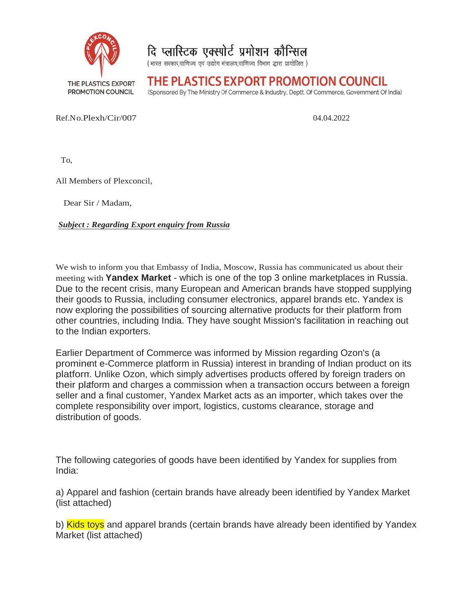

दि प्लास्टिक एक्स्पोर्ट प्रमोशन कौन्सिल

(भारत सरकार,वाणिज्य एवं उद्योग मंत्रालय,वाणिज्य विभाग द्धारा प्रायोजित)

THE PLASTICS EXPORT PROMOTION COUNCIL

(Sponsored By The Ministry Of Commerce & Industry, Deptt. Of Commerce, Government Of India)

Ref.No.Plexh/Cir/007 Ref.No.Plexh/Cir/007 Plexh/Cir/007 04.04.2022

 $04.04.2022$ 04.04.2022

To,

All Members of Plexconcil,

Dear Sir / Madam,

*Subject : Regarding Export enquiry from Russia : Regarding* 

We wish to inform you that Embassy of India, Moscow, Russia has communicated us about their meeting with **Yandex Market Yandex Market** - which is one of the top 3 online marketplaces in Russia. Due to the recent crisis, many European and American brands have stopped supplying their goods to Russia, including consumer electronics, apparel brands etc. Yandex is now exploring the possibilities of sourcing alternative products for their platform from other countries, including India. They have sought Mission's facilitation in reac to the Indian exporters. 04.04.2022<br>
communicated us about their<br>
the marketplaces in Russia.<br>
Inds have stopped supplying<br>
trel brands etc. Yandex is<br>
tes for their platform from<br>
facilitation in reaching out<br>
regarding Ozon's (a<br>
ting of Indian

Earlier Department of Commerce was informed by Mission regarding Ozon's (a prominent e prominent e-Commerce platform in Russia) interest in branding of Indian product on its platform. Unlike Ozon, which simply advertises products offered by foreign traders on their platform and charges a commission when a transaction occurs between a foreign seller and a final customer, Yandex Market acts as an importer, which takes over the complete responsibility over import, logistics, customs clearance, storage and distribution of goods. ecent crisis, many European and American brands have stopped supplying<br>o Russia, including consumer electronics, apparel brands etc. Yandex is<br>o flue possibilities of sourcing alternative products for their platform from<br>e 04.04.2022<br>
or enautry from Russia<br>
or enautry from Russia<br>
and Finhassy of India, Moscow, Russia has communicated us about their<br>
and Harbek - which is one of the top 3 online marketplaces in Russia.<br>
is, many European an red by Mission's facilitation in reaching<br>by Mission regarding Ozon's (a<br>rest in branding of Indian product or<br>products offered by foreign traders<br>a transaction occurs between a fore

The following categories of goods have been identified by Yandex for supplies from India:

a) Apparel and fashion (certain brands have already been identified by Yandex Market (list attached)

b) <mark>Kids toys</mark> and apparel brands (certain brands have already been identified by Yandex Market (list attached)